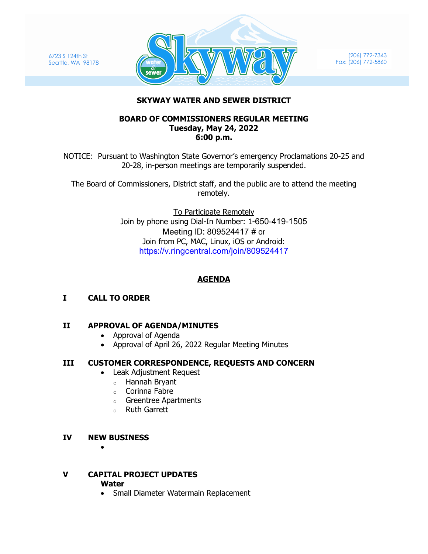6723 S 124th St Seattle, WA 98178



(206) 772-7343 Fax: (206) 772-5860

### **SKYWAY WATER AND SEWER DISTRICT**

#### **BOARD OF COMMISSIONERS REGULAR MEETING Tuesday, May 24, 2022 6:00 p.m.**

NOTICE: Pursuant to Washington State Governor's emergency Proclamations 20-25 and 20-28, in-person meetings are temporarily suspended.

The Board of Commissioners, District staff, and the public are to attend the meeting remotely.

> To Participate Remotely Join by phone using Dial-In Number: 1-650-419-1505 Meeting ID: 809524417 # or Join from PC, MAC, Linux, iOS or Android: <https://v.ringcentral.com/join/809524417>

# **AGENDA**

**I CALL TO ORDER**

# **II APPROVAL OF AGENDA/MINUTES**

- Approval of Agenda
- Approval of April 26, 2022 Regular Meeting Minutes

# **III CUSTOMER CORRESPONDENCE, REQUESTS AND CONCERN**

- Leak Adjustment Request
	- o Hannah Bryant
	- o Corinna Fabre
	- o Greentree Apartments
	- o Ruth Garrett

# **IV NEW BUSINESS**

•

# **V CAPITAL PROJECT UPDATES**

#### **Water**

• Small Diameter Watermain Replacement